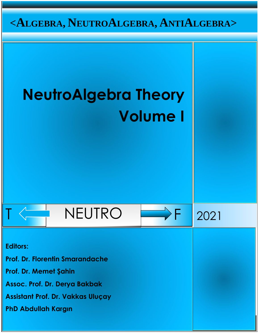

# **NeutroAlgebra Theory Volume I**





**Editors: Prof. Dr. Florentin Smarandache Prof. Dr. Memet Şahin Assoc. Prof. Dr. Derya Bakbak Assistant Prof. Dr. Vakkas Uluçay PhD Abdullah Kargın**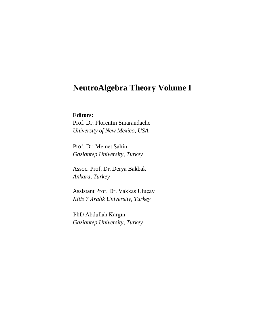## **NeutroAlgebra Theory Volume I**

**Editors:** 

 Prof. Dr. Florentin Smarandache  *University of New Mexico, USA* 

 Prof. Dr. Memet Şahin  *Gaziantep University, Turkey* 

Assoc. Prof. Dr. Derya Bakbak  *Ankara, Turkey*

Assistant Prof. Dr. Vakkas Uluçay  *Kilis 7 Aralık University, Turkey* 

PhD Abdullah Kargın  *Gaziantep University, Turkey*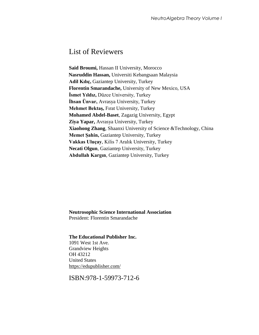## List of Reviewers

**Said Broumi,** Hassan II University, Morocco **Nasruddin Hassan,** Universiti Kebangsaan Malaysia **Adil Kılıç,** Gaziantep University, Turkey **Florentin Smarandache,** University of New Mexico, USA **İsmet Yıldız,** Düzce University, Turkey **İhsan Ünvar,** Avrasya University, Turkey **Mehmet Bektaş,** Fırat University, Turkey **Mohamed Abdel-Baset**, Zagazig University, Egypt **Ziya Yapar,** Avrasya University, Turkey **Xiaohong Zhang**, Shaanxi University of Science &Technology, China **Memet Şahin,** Gaziantep University, Turkey **Vakkas Uluçay**, Kilis 7 Aralık University, Turkey **Necati Olgun**, Gaziantep University, Turkey **Abdullah Kargın**, Gaziantep University, Turkey

**Neutrosophic Science International Association**  President: Florentin Smarandache

#### **The Educational Publisher Inc.**

1091 West 1st Ave. Grandview Heights OH 43212 United States <https://edupublisher.com/>

ISBN:978-1-59973-712-6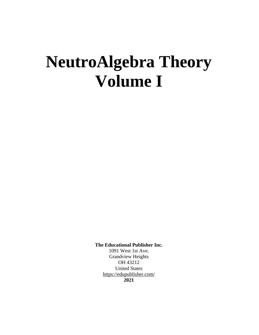## **NeutroAlgebra Theory Volume I**

**The Educational Publisher Inc.** 

1091 West 1st Ave. Grandview Heights OH 43212 United States <https://edupublisher.com/> **2021**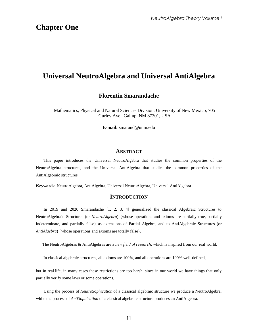## **Chapter One**

## **Universal NeutroAlgebra and Universal AntiAlgebra**

#### **Florentin Smarandache**

Mathematics, Physical and Natural Sciences Division, University of New Mexico, 705 Gurley Ave., Gallup, NM 87301, USA

**E-mail:** smarand@unm.edu

#### **ABSTRACT**

This paper introduces the Universal NeutroAlgebra that studies the common properties of the NeutroAlgebra structures, and the Universal AntiAlgebra that studies the common properties of the AntiAlgebraic structures.

**Keywords:** NeutroAlgebra, AntiAlgebra, Universal NeutroAlgebra, Universal AntiAlgebra

#### **INTRODUCTION**

In 2019 and 2020 Smarandache [1, 2, 3, 4] generalized the classical Algebraic Structures to NeutroAlgebraic Structures (or *NeutroAlgebra*) {whose operations and axioms are partially true, partially indeterminate, and partially false} as extensions of Partial Algebra, and to AntiAlgebraic Structures (or *AntiAlgebra*) {whose operations and axioms are totally false}.

The NeutroAlgebras & AntiAlgebras are a *new field of research*, which is inspired from our real world.

In classical algebraic structures, all axioms are 100%, and all operations are 100% well-defined,

but in real life, in many cases these restrictions are too harsh, since in our world we have things that only partially verify some laws or some operations.

Using the process of *NeutroSophication* of a classical algebraic structure we produce a NeutroAlgebra, while the process of *AntiSophication* of a classical algebraic structure produces an AntiAlgebra.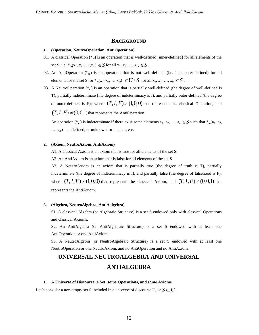#### **BACKGROUND**

#### **1. (Operation, NeutroOperation, AntiOperation)**

- 01. A classical Operation  $(*_{m})$  is an operation that is well-defined (inner-defined) for all elements of the set S, i.e.  $*_{m}(x_1, x_2, ..., x_m) \in S$  for all  $x_1, x_2, ..., x_m \in S$ .
- 02. An AntiOperation  $(*_m)$  is an operation that is not well-defined (i.e. it is outer-defined) for all elements for the set S; or  ${}^*_{m}(x_1, x_2, ..., x_m) \in U \setminus S$  for all  $x_1, x_2, ..., x_m \in S$ .
- 03. A NeutroOperation  $(*_{m})$  is an operation that is partially well-defined (the degree of well-defined is T), partially indeterminate (the degree of indeterminacy is I), and partially outer-defined (the degree of outer-defined is F); where  $(T, I, F) \neq (1,0,0)$  that represents the classical Operation, and  $(T, I, F) \neq (0,0,1)$  that represents the AntiOperation.

An operation ( $*$ <sub>m</sub>) is indeterminate if there exist some elements  $a_1, a_2, ..., a_n \in S$  such that  $*$ <sub>m</sub>( $a_1, a_2$ ,  $..., a_m$  = undefined, or unknown, or unclear, etc.

#### **2. (Axiom, NeutroAxiom, AntiAxiom)**

A1. A classical Axiom is an axiom that is true for all elements of the set S.

A2. An AntiAxiom is an axiom that is false for all elements of the set S.

A3. A NeutroAxiom is an axiom that is partially true (the degree of truth is T), partially indeterminate (the degree of indeterminacy is I), and partially false (the degree of falsehood is F), where  $(T, I, F) \neq (1,0,0)$  that represents the classical Axiom, and  $(T, I, F) \neq (0,0,1)$  that represents the AntiAxiom.

#### **3. (Algebra, NeutroAlgebra, AntiAalgebra)**

S1. A classical Algebra (or Algebraic Structure) is a set S endowed only with classical Operations and classical Axioms.

S2. An AntiAlgebra (or AntiAlgebraic Structure) is a set S endowed with at least one AntiOperation or one AntiAxiom

S3. A NeutroAlgebra (or NeutroAlgebraic Structure) is a set S endowed with at least one NeutroOperation or one NeutroAxiom, and no AntiOperation and no AntiAxiom.

## **UNIVERSAL NEUTROALGEBRA AND UNIVERSAL ANTIALGEBRA**

#### **1. A Universe of Discourse, a Set, some Operations, and some Axioms**

Let's consider a non-empty set S included in a universe of discourse U, or  $S$   $\subset$   $U$  .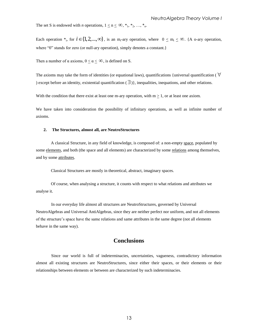The set S is endowed with *n* operations,  $1 \le n \le \infty$ , \*<sub>1</sub>, \*<sub>2</sub>, ..., \*<sub>n</sub>.

Each operation  $*_{i}$ , for  $i \in \{1, 2, ..., \infty\}$ , is an m<sub>i</sub>-ary operation, where  $0 \leq m_{i} \leq \infty$ . {A o-ary operation, where "0" stands for zero (or null-ary operation), simply denotes a constant.

Then a number of  $\alpha$  axioms,  $0 \leq \alpha \leq \infty$ , is defined on S.

The axioms may take the form of identities (or equational laws), quantifications {universal quantification ( $\forall$ ) except before an identity, existential quantification  $(\exists)$ , inequalities, inequations, and other relations.

With the condition that there exist at least one m-ary operation, with  $m > 1$ , or at least one axiom.

We have taken into consideration the possibility of infinitary operations, as well as infinite number of axioms.

#### **2. The Structures, almost all, are NeutroStructures**

A classical Structure, in any field of knowledge, is composed of: a non-empty space, populated by some elements, and both (the space and all elements) are characterized by some relations among themselves, and by some attributes.

Classical Structures are mostly in theoretical, abstract, imaginary spaces.

Of course, when analysing a structure, it counts with respect to what relations and attributes we analyse it.

In our everyday life almost all structures are NeutroStructures, governed by Universal NeutroAlgebras and Universal AntiAlgebras, since they are neither perfect nor uniform, and not all elements of the structure"s space have the same relations and same attributes in the same degree (not all elements behave in the same way).

#### **Conclusions**

Since our world is full of indeterminacies, uncertainties, vagueness, contradictory information almost all existing structures are NeutroStructures, since either their spaces, or their elements or their relationships between elements or between are characterized by such indeterminacies.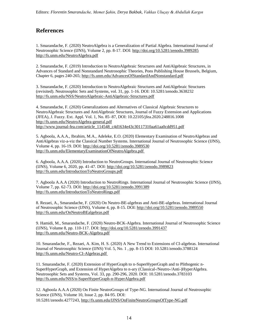### **References**

1. Smarandache, F. (2020) NeutroAlgebra is a Generalization of Partial Algebra. International Journal of Neutrosophic Science (IJNS), Volume 2, pp. 8-17. DOI:<http://doi.org/10.5281/zenodo.3989285> <http://fs.unm.edu/NeutroAlgebra.pdf>

2. Smarandache, F. (2019) Introduction to NeutroAlgebraic Structures and AntiAlgebraic Structures, in Advances of Standard and Nonstandard Neutrosophic Theories, Pons Publishing House Brussels, Belgium, Chapter 6, pages 240-265;<http://fs.unm.edu/AdvancesOfStandardAndNonstandard.pdf>

3. Smarandache, F. (2020) Introduction to NeutroAlgebraic Structures and AntiAlgebraic Structures (revisited). Neutrosophic Sets and Systems, vol. 31, pp. 1-16. DOI: 10.5281/zenodo.3638232 <http://fs.unm.edu/NSS/NeutroAlgebraic-AntiAlgebraic-Structures.pdf>

4. Smarandache, F. (2020) Generalizations and Alternatives of Classical Algebraic Structures to NeutroAlgebraic Structures and AntiAlgebraic Structures, Journal of Fuzzy Extension and Applications (JFEA), J. Fuzzy. Ext. Appl. Vol. 1, No. 85–87, DOI: 10.22105/jfea.2020.248816.1008 <http://fs.unm.edu/NeutroAlgebra-general.pdf> [http://www.journal-fea.com/article\\_114548\\_c4d1634e43c30117310aa61aa0cdd951.pdf](http://www.journal-fea.com/article_114548_c4d1634e43c30117310aa61aa0cdd951.pdf)

5. Agboola, A.A.A., Ibrahim, M.A., Adeleke, E.O. (2020) Elementary Examination of NeutroAlgebras and AntiAlgebras viz-a-viz the Classical Number Systems. International Journal of Neutrosophic Science (IJNS), Volume 4, pp. 16-19. DOI:<http://doi.org/10.5281/zenodo.3989530> <http://fs.unm.edu/ElementaryExaminationOfNeutroAlgebra.pdf>

6. Agboola, A.A.A. (2020) Introduction to NeutroGroups. International Journal of Neutrosophic Science (IJNS), Volume 6, 2020, pp. 41-47. DOI:<http://doi.org/10.5281/zenodo.3989823> <http://fs.unm.edu/IntroductionToNeutroGroups.pdf>

7. Agboola A.A.A (2020) Introduction to NeutroRings. International Journal of Neutrosophic Science (IJNS), Volume 7, pp. 62-73. DOI:<http://doi.org/10.5281/zenodo.3991389> <http://fs.unm.edu/IntroductionToNeutroRings.pdf>

8. Rezaei, A., Smarandache, F. (2020) On Neutro-BE-algebras and Anti-BE-algebras. International Journal of Neutrosophic Science (IJNS), Volume 4, pp. 8-15. DOI[: http://doi.org/10.5281/zenodo.3989550](http://doi.org/10.5281/zenodo.3989550) <http://fs.unm.edu/OnNeutroBEalgebras.pdf>

9. Hamidi, M., Smarandache, F. (2020) Neutro-BCK-Algebra. International Journal of Neutrosophic Science (IJNS), Volume 8, pp. 110-117. DOI:<http://doi.org/10.5281/zenodo.3991437> <http://fs.unm.edu/Neutro-BCK-Algebra.pdf>

10. Smarandache, F., Rezaei, A. Kim, H. S. (2020) A New Trend to Extensions of CI-algebras. International Journal of Neutrosophic Science (IJNS) Vol. 5, No. 1 , pp. 8-15 DOI: 10.5281/zenodo.3788124 <http://fs.unm.edu/Neutro-CI-Algebras.pdf>

11. Smarandache, F. (2020) Extension of HyperGraph to n-SuperHyperGraph and to Plithogenic n-SuperHyperGraph, and Extension of HyperAlgebra to n-ary (Classical-/Neutro-/Anti-)HyperAlgebra. Neutrosophic Sets and Systems, Vol. 33, pp. 290-296, 2020. DOI: 10.5281/zenodo.3783103 <http://fs.unm.edu/NSS/n-SuperHyperGraph-n-HyperAlgebra.pdf>

12. Agboola A.A.A (2020) On Finite NeutroGroups of Type-NG. International Journal of Neutrosophic Science (IJNS), Volume 10, Issue 2, pp. 84-95. DOI: 10.5281/zenodo.4277243, <http://fs.unm.edu/IJNS/OnFiniteNeutroGroupsOfType-NG.pdf>